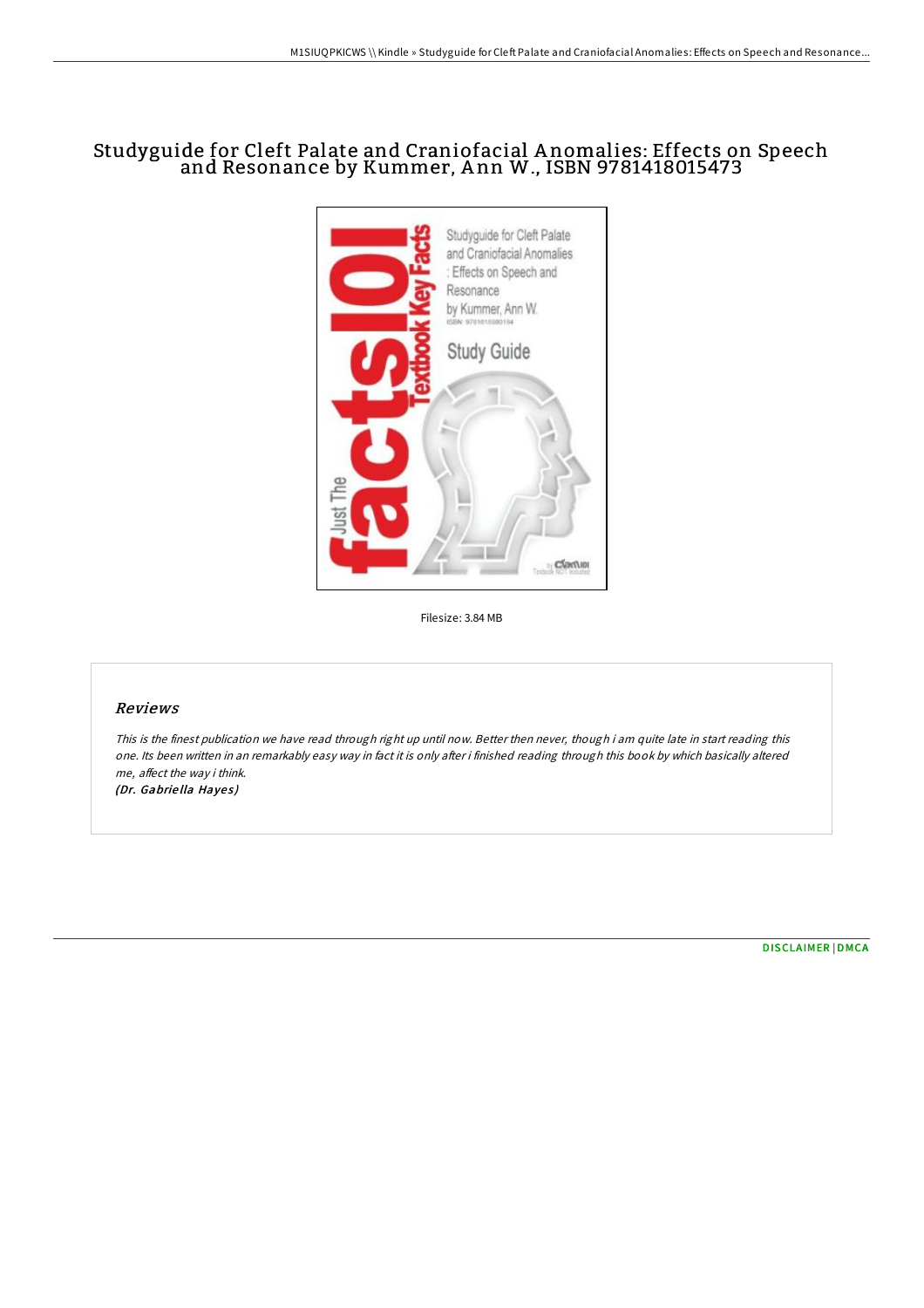# Studyguide for Cleft Palate and Craniofacial A nomalies: Effects on Speech and Resonance by Kummer, A nn W., ISBN 9781418015473



Filesize: 3.84 MB

## Reviews

This is the finest publication we have read through right up until now. Better then never, though i am quite late in start reading this one. Its been written in an remarkably easy way in fact it is only after i finished reading through this book by which basically altered me, affect the way i think. (Dr. Gabriella Hayes)

[DISCLAIMER](http://almighty24.tech/disclaimer.html) | [DMCA](http://almighty24.tech/dmca.html)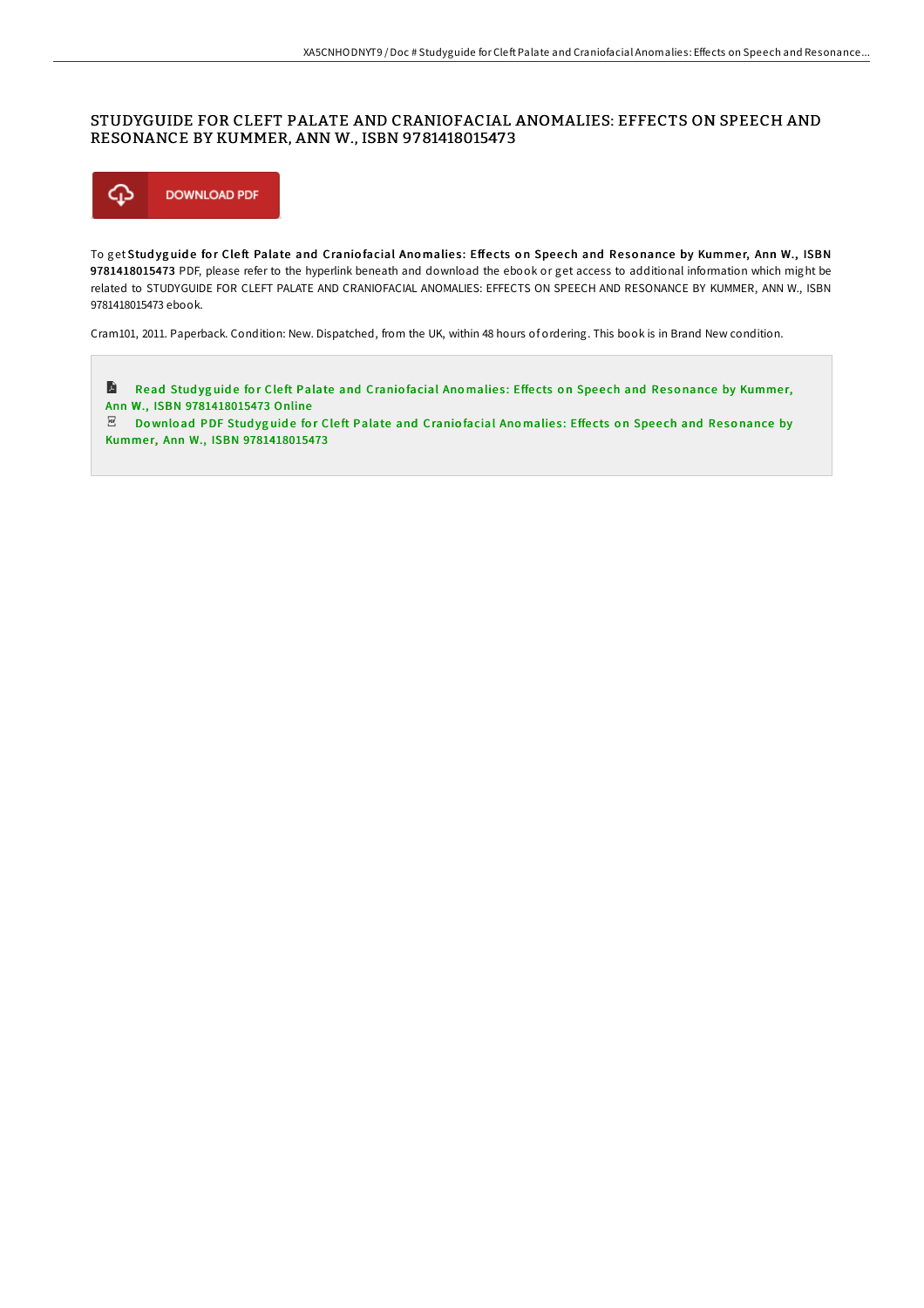#### STUDYGUIDE FOR CLEFT PALATE AND CRANIOFACIAL ANOMALIES: EFFECTS ON SPEECH AND RESONANCE BY KUMMER, ANN W., ISBN 9781418015473



To get Studyguide for Cleft Palate and Craniofacial Anomalies: Effects on Speech and Resonance by Kummer, Ann W., ISBN 9781418015473 PDF, please refer to the hyperlink beneath and download the ebook or get access to additional information which might be related to STUDYGUIDE FOR CLEFT PALATE AND CRANIOFACIAL ANOMALIES: EFFECTS ON SPEECH AND RESONANCE BY KUMMER, ANN W., ISBN 9781418015473 ebook.

Cram101, 2011. Paperback. Condition: New. Dispatched, from the UK, within 48 hours of ordering. This book is in Brand New condition.